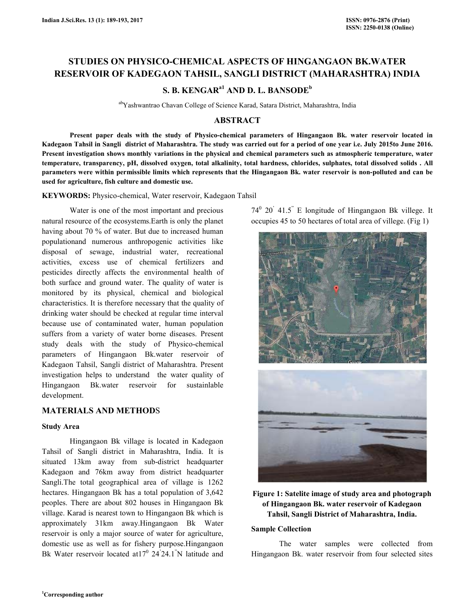# **STUDIES ON PHYSICO-CHEMICAL ASPECTS OF HINGANGAON BK.WATER RESERVOIR OF KADEGAON TAHSIL, SANGLI DISTRICT (MAHARASHTRA) INDIA**

# **S. B. KENGARa1 AND D. L. BANSODE<sup>b</sup>**

abYashwantrao Chavan College of Science Karad, Satara District, Maharashtra, India

# **ABSTRACT**

 **Present paper deals with the study of Physico-chemical parameters of Hingangaon Bk. water reservoir located in Kadegaon Tahsil in Sangli district of Maharashtra. The study was carried out for a period of one year i.e. July 2015to June 2016. Present investigation shows monthly variations in the physical and chemical parameters such as atmospheric temperature, water temperature, transparency, pH, dissolved oxygen, total alkalinity, total hardness, chlorides, sulphates, total dissolved solids . All parameters were within permissible limits which represents that the Hingangaon Bk. water reservoir is non-polluted and can be used for agriculture, fish culture and domestic use.** 

**KEYWORDS:** Physico-chemical, Water reservoir, Kadegaon Tahsil

 Water is one of the most important and precious natural resource of the ecosystems.Earth is only the planet having about 70 % of water. But due to increased human populationand numerous anthropogenic activities like disposal of sewage, industrial water, recreational activities, excess use of chemical fertilizers and pesticides directly affects the environmental health of both surface and ground water. The quality of water is monitored by its physical, chemical and biological characteristics. It is therefore necessary that the quality of drinking water should be checked at regular time interval because use of contaminated water, human population suffers from a variety of water borne diseases. Present study deals with the study of Physico-chemical parameters of Hingangaon Bk.water reservoir of Kadegaon Tahsil, Sangli district of Maharashtra. Present investigation helps to understand the water quality of Hingangaon Bk.water reservoir for sustainlable development.

## **MATERIALS AND METHOD**S

## **Study Area**

 Hingangaon Bk village is located in Kadegaon Tahsil of Sangli district in Maharashtra, India. It is situated 13km away from sub-district headquarter Kadegaon and 76km away from district headquarter Sangli.The total geographical area of village is 1262 hectares. Hingangaon Bk has a total population of 3,642 peoples. There are about 802 houses in Hingangaon Bk village. Karad is nearest town to Hingangaon Bk which is approximately 31km away.Hingangaon Bk Water reservoir is only a major source of water for agriculture, domestic use as well as for fishery purpose.Hingangaon Bk Water reservoir located at  $17^0$  24<sup>'</sup>24.1<sup>"</sup>N latitude and

 $74^{\circ}$  20<sup>'</sup> 41.5<sup>"</sup> E longitude of Hingangaon Bk villege. It occupies 45 to 50 hectares of total area of villege. (Fig 1)



# **Figure 1: Satelite image of study area and photograph of Hingangaon Bk. water reservoir of Kadegaon Tahsil, Sangli District of Maharashtra, India.**

## **Sample Collection**

The water samples were collected from Hingangaon Bk. water reservoir from four selected sites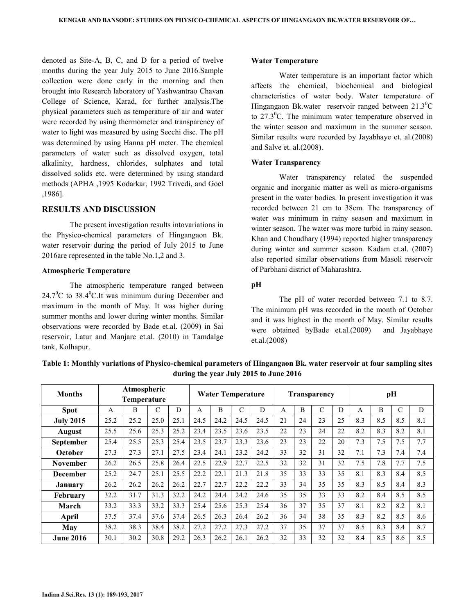denoted as Site-A, B, C, and D for a period of twelve months during the year July 2015 to June 2016.Sample collection were done early in the morning and then brought into Research laboratory of Yashwantrao Chavan College of Science, Karad, for further analysis.The physical parameters such as temperature of air and water were recorded by using thermometer and transparency of water to light was measured by using Secchi disc. The pH was determined by using Hanna pH meter. The chemical parameters of water such as dissolved oxygen, total alkalinity, hardness, chlorides, sulphates and total dissolved solids etc. were determined by using standard methods (APHA ,1995 Kodarkar, 1992 Trivedi, and Goel ,1986].

## **RESULTS AND DISCUSSION**

 The present investigation results intovariations in the Physico-chemical parameters of Hingangaon Bk. water reservoir during the period of July 2015 to June 2016are represented in the table No.1,2 and 3.

#### **Atmospheric Temperature**

The atmospheric temperature ranged between  $24.7^{\circ}$ C to 38.4 $^{\circ}$ C.It was minimum during December and maximum in the month of May. It was higher during summer months and lower during winter months. Similar observations were recorded by Bade et.al. (2009) in Sai reservoir, Latur and Manjare et.al. (2010) in Tamdalge tank, Kolhapur.

#### **Water Temperature**

Water temperature is an important factor which affects the chemical, biochemical and biological characteristics of water body. Water temperature of Hingangaon Bk.water reservoir ranged between  $21.3^{\circ}$ C to  $27.3^{\circ}$ C. The minimum water temperature observed in the winter season and maximum in the summer season. Similar results were recorded by Jayabhaye et. al.(2008) and Salve et. al.(2008).

#### **Water Transparency**

Water transparency related the suspended organic and inorganic matter as well as micro-organisms present in the water bodies. In present investigation it was recorded between 21 cm to 38cm. The transparency of water was minimum in rainy season and maximum in winter season. The water was more turbid in rainy season. Khan and Choudhary (1994) reported higher transparency during winter and summer season. Kadam et.al. (2007) also reported similar observations from Masoli reservoir of Parbhani district of Maharashtra.

## **pH**

The pH of water recorded between 7.1 to 8.7. The minimum pH was recorded in the month of October and it was highest in the month of May. Similar results were obtained byBade et.al.(2009) and Jayabhaye et.al.(2008)

| <b>Months</b>    | Atmospheric<br>Temperature |      |      |      | <b>Water Temperature</b> |      |      |      | Transparency |    |               |    | pH  |                |     |     |
|------------------|----------------------------|------|------|------|--------------------------|------|------|------|--------------|----|---------------|----|-----|----------------|-----|-----|
| <b>Spot</b>      | A                          | B    | С    | D    | A                        | B    | C    | D    | A            | B  | $\mathcal{C}$ | D  | A   | $\overline{B}$ | C   | D   |
| <b>July 2015</b> | 25.2                       | 25.2 | 25.0 | 25.1 | 24.5                     | 24.2 | 24.5 | 24.5 | 21           | 24 | 23            | 25 | 8.3 | 8.5            | 8.5 | 8.1 |
| <b>August</b>    | 25.5                       | 25.6 | 25.3 | 25.2 | 23.4                     | 23.5 | 23.6 | 23.5 | 22           | 23 | 24            | 22 | 8.2 | 8.3            | 8.2 | 8.1 |
| September        | 25.4                       | 25.5 | 25.3 | 25.4 | 23.5                     | 23.7 | 23.3 | 23.6 | 23           | 23 | 22            | 20 | 7.3 | 7.5            | 7.5 | 7.7 |
| October          | 27.3                       | 27.3 | 27.1 | 27.5 | 23.4                     | 24.1 | 23.2 | 24.2 | 33           | 32 | 31            | 32 | 7.1 | 7.3            | 7.4 | 7.4 |
| <b>November</b>  | 26.2                       | 26.5 | 25.8 | 26.4 | 22.5                     | 22.9 | 22.7 | 22.5 | 32           | 32 | 31            | 32 | 7.5 | 7.8            | 7.7 | 7.5 |
| <b>December</b>  | 25.2                       | 24.7 | 25.1 | 25.5 | 22.2                     | 22.1 | 21.3 | 21.8 | 35           | 33 | 33            | 35 | 8.1 | 8.3            | 8.4 | 8.5 |
| <b>January</b>   | 26.2                       | 26.2 | 26.2 | 26.2 | 22.7                     | 22.7 | 22.2 | 22.2 | 33           | 34 | 35            | 35 | 8.3 | 8.5            | 8.4 | 8.3 |
| February         | 32.2                       | 31.7 | 31.3 | 32.2 | 24.2                     | 24.4 | 24.2 | 24.6 | 35           | 35 | 33            | 33 | 8.2 | 8.4            | 8.5 | 8.5 |
| March            | 33.2                       | 33.3 | 33.2 | 33.3 | 25.4                     | 25.6 | 25.3 | 25.4 | 36           | 37 | 35            | 37 | 8.1 | 8.2            | 8.2 | 8.1 |
| April            | 37.5                       | 37.4 | 37.6 | 37.4 | 26.5                     | 26.3 | 26.4 | 26.2 | 36           | 34 | 38            | 35 | 8.3 | 8.2            | 8.5 | 8.6 |
| May              | 38.2                       | 38.3 | 38.4 | 38.2 | 27.2                     | 27.2 | 27.3 | 27.2 | 37           | 35 | 37            | 37 | 8.5 | 8.3            | 8.4 | 8.7 |
| <b>June 2016</b> | 30.1                       | 30.2 | 30.8 | 29.2 | 26.3                     | 26.2 | 26.1 | 26.2 | 32           | 33 | 32            | 32 | 8.4 | 8.5            | 8.6 | 8.5 |

**Table 1: Monthly variations of Physico-chemical parameters of Hingangaon Bk. water reservoir at four sampling sites during the year July 2015 to June 2016**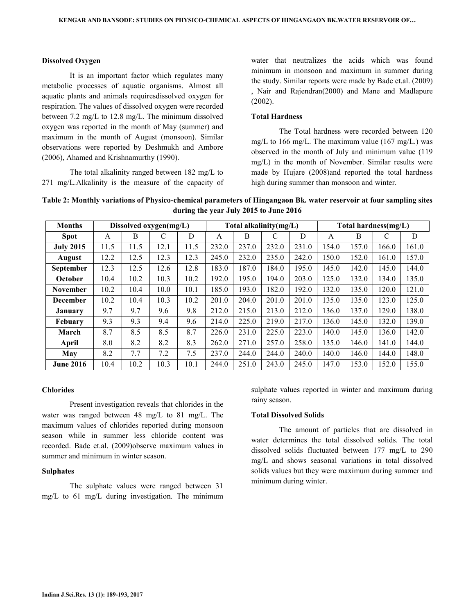#### **Dissolved Oxygen**

It is an important factor which regulates many metabolic processes of aquatic organisms. Almost all aquatic plants and animals requiresdissolved oxygen for respiration. The values of dissolved oxygen were recorded between 7.2 mg/L to 12.8 mg/L. The minimum dissolved oxygen was reported in the month of May (summer) and maximum in the month of August (monsoon). Similar observations were reported by Deshmukh and Ambore (2006), Ahamed and Krishnamurthy (1990).

 The total alkalinity ranged between 182 mg/L to 271 mg/L.Alkalinity is the measure of the capacity of water that neutralizes the acids which was found minimum in monsoon and maximum in summer during the study. Similar reports were made by Bade et.al. (2009) , Nair and Rajendran(2000) and Mane and Madlapure (2002).

#### **Total Hardness**

The Total hardness were recorded between 120 mg/L to 166 mg/L. The maximum value  $(167 \text{ mg/L.})$  was observed in the month of July and minimum value (119 mg/L) in the month of November. Similar results were made by Hujare (2008)and reported the total hardness high during summer than monsoon and winter.

**Table 2: Monthly variations of Physico-chemical parameters of Hingangaon Bk. water reservoir at four sampling sites during the year July 2015 to June 2016**

| <b>Months</b>    |      |      | Dissolved oxygen(mg/L) |      |       | Total alkalinity(mg/L) |       |       | Total hardness(mg/L) |       |       |       |  |
|------------------|------|------|------------------------|------|-------|------------------------|-------|-------|----------------------|-------|-------|-------|--|
| <b>Spot</b>      | A    | B    | C                      | D    | A     | B                      | C     | D     | A                    | B     | C     | D     |  |
| <b>July 2015</b> | 11.5 | 11.5 | 12.1                   | 11.5 | 232.0 | 237.0                  | 232.0 | 231.0 | 154.0                | 157.0 | 166.0 | 161.0 |  |
| <b>August</b>    | 12.2 | 12.5 | 12.3                   | 12.3 | 245.0 | 232.0                  | 235.0 | 242.0 | 150.0                | 152.0 | 161.0 | 157.0 |  |
| <b>September</b> | 12.3 | 12.5 | 12.6                   | 12.8 | 183.0 | 187.0                  | 184.0 | 195.0 | 145.0                | 142.0 | 145.0 | 144.0 |  |
| October          | 10.4 | 10.2 | 10.3                   | 10.2 | 192.0 | 195.0                  | 194.0 | 203.0 | 125.0                | 132.0 | 134.0 | 135.0 |  |
| <b>November</b>  | 10.2 | 10.4 | 10.0                   | 10.1 | 185.0 | 193.0                  | 182.0 | 192.0 | 132.0                | 135.0 | 120.0 | 121.0 |  |
| <b>December</b>  | 10.2 | 10.4 | 10.3                   | 10.2 | 201.0 | 204.0                  | 201.0 | 201.0 | 135.0                | 135.0 | 123.0 | 125.0 |  |
| <b>January</b>   | 9.7  | 9.7  | 9.6                    | 9.8  | 212.0 | 215.0                  | 213.0 | 212.0 | 136.0                | 137.0 | 129.0 | 138.0 |  |
| Febuary          | 9.3  | 9.3  | 9.4                    | 9.6  | 214.0 | 225.0                  | 219.0 | 217.0 | 136.0                | 145.0 | 132.0 | 139.0 |  |
| March            | 8.7  | 8.5  | 8.5                    | 8.7  | 226.0 | 231.0                  | 225.0 | 223.0 | 140.0                | 145.0 | 136.0 | 142.0 |  |
| April            | 8.0  | 8.2  | 8.2                    | 8.3  | 262.0 | 271.0                  | 257.0 | 258.0 | 135.0                | 146.0 | 141.0 | 144.0 |  |
| May              | 8.2  | 7.7  | 7.2                    | 7.5  | 237.0 | 244.0                  | 244.0 | 240.0 | 140.0                | 146.0 | 144.0 | 148.0 |  |
| <b>June 2016</b> | 10.4 | 10.2 | 10.3                   | 10.1 | 244.0 | 251.0                  | 243.0 | 245.0 | 147.0                | 153.0 | 152.0 | 155.0 |  |

#### **Chlorides**

 Present investigation reveals that chlorides in the water was ranged between 48 mg/L to 81 mg/L. The maximum values of chlorides reported during monsoon season while in summer less chloride content was recorded. Bade et.al. (2009)observe maximum values in summer and minimum in winter season.

#### **Sulphates**

The sulphate values were ranged between 31 mg/L to 61 mg/L during investigation. The minimum sulphate values reported in winter and maximum during rainy season.

#### **Total Dissolved Solids**

 The amount of particles that are dissolved in water determines the total dissolved solids. The total dissolved solids fluctuated between 177 mg/L to 290 mg/L and shows seasonal variations in total dissolved solids values but they were maximum during summer and minimum during winter.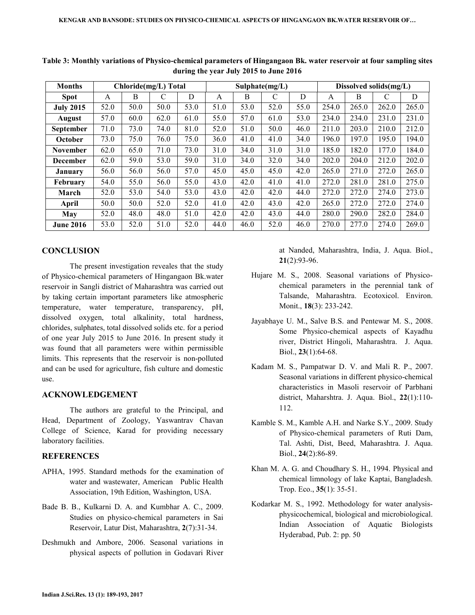| <b>Months</b>    |      |      | Chloride(mg/L) Total |      |      |      | Sulphate(mg/L) |      | Dissolved solids(mg/L) |       |       |       |  |
|------------------|------|------|----------------------|------|------|------|----------------|------|------------------------|-------|-------|-------|--|
| <b>Spot</b>      | A    | B    | C                    | D    | A    | B    | C              | D    | A                      | B     | C     | D     |  |
| <b>July 2015</b> | 52.0 | 50.0 | 50.0                 | 53.0 | 51.0 | 53.0 | 52.0           | 55.0 | 254.0                  | 265.0 | 262.0 | 265.0 |  |
| <b>August</b>    | 57.0 | 60.0 | 62.0                 | 61.0 | 55.0 | 57.0 | 61.0           | 53.0 | 234.0                  | 234.0 | 231.0 | 231.0 |  |
| <b>September</b> | 71.0 | 73.0 | 74.0                 | 81.0 | 52.0 | 51.0 | 50.0           | 46.0 | 211.0                  | 203.0 | 210.0 | 212.0 |  |
| October          | 73.0 | 75.0 | 76.0                 | 75.0 | 36.0 | 41.0 | 41.0           | 34.0 | 196.0                  | 197.0 | 195.0 | 194.0 |  |
| <b>November</b>  | 62.0 | 65.0 | 71.0                 | 73.0 | 31.0 | 34.0 | 31.0           | 31.0 | 185.0                  | 182.0 | 177.0 | 184.0 |  |
| <b>December</b>  | 62.0 | 59.0 | 53.0                 | 59.0 | 31.0 | 34.0 | 32.0           | 34.0 | 202.0                  | 204.0 | 212.0 | 202.0 |  |
| <b>January</b>   | 56.0 | 56.0 | 56.0                 | 57.0 | 45.0 | 45.0 | 45.0           | 42.0 | 265.0                  | 271.0 | 272.0 | 265.0 |  |
| February         | 54.0 | 55.0 | 56.0                 | 55.0 | 43.0 | 42.0 | 41.0           | 41.0 | 272.0                  | 281.0 | 281.0 | 275.0 |  |
| March            | 52.0 | 53.0 | 54.0                 | 53.0 | 43.0 | 42.0 | 42.0           | 44.0 | 272.0                  | 272.0 | 274.0 | 273.0 |  |
| April            | 50.0 | 50.0 | 52.0                 | 52.0 | 41.0 | 42.0 | 43.0           | 42.0 | 265.0                  | 272.0 | 272.0 | 274.0 |  |
| May              | 52.0 | 48.0 | 48.0                 | 51.0 | 42.0 | 42.0 | 43.0           | 44.0 | 280.0                  | 290.0 | 282.0 | 284.0 |  |
| <b>June 2016</b> | 53.0 | 52.0 | 51.0                 | 52.0 | 44.0 | 46.0 | 52.0           | 46.0 | 270.0                  | 277.0 | 274.0 | 269.0 |  |

**Table 3: Monthly variations of Physico-chemical parameters of Hingangaon Bk. water reservoir at four sampling sites during the year July 2015 to June 2016** 

# **CONCLUSION**

The present investigation reveales that the study of Physico-chemical parameters of Hingangaon Bk.water reservoir in Sangli district of Maharashtra was carried out by taking certain important parameters like atmospheric temperature, water temperature, transparency, pH, dissolved oxygen, total alkalinity, total hardness, chlorides, sulphates, total dissolved solids etc. for a period of one year July 2015 to June 2016. In present study it was found that all parameters were within permissible limits. This represents that the reservoir is non-polluted and can be used for agriculture, fish culture and domestic use.

## **ACKNOWLEDGEMENT**

The authors are grateful to the Principal, and Head, Department of Zoology, Yaswantrav Chavan College of Science, Karad for providing necessary laboratory facilities.

#### **REFERENCES**

- APHA, 1995. Standard methods for the examination of water and wastewater, American Public Health Association, 19th Edition, Washington, USA.
- Bade B. B., Kulkarni D. A. and Kumbhar A. C., 2009. Studies on physico-chemical parameters in Sai Reservoir, Latur Dist, Maharashtra, **2**(7):31-34.
- Deshmukh and Ambore, 2006. Seasonal variations in physical aspects of pollution in Godavari River

at Nanded, Maharashtra, India, J. Aqua. Biol., **21**(2):93-96.

- Hujare M. S., 2008. Seasonal variations of Physicochemical parameters in the perennial tank of Talsande, Maharashtra. Ecotoxicol. Environ. Monit., **18**(3): 233-242.
- Jayabhaye U. M., Salve B.S. and Pentewar M. S., 2008. Some Physico-chemical aspects of Kayadhu river, District Hingoli, Maharashtra. J. Aqua. Biol., **23**(1):64-68.
- Kadam M. S., Pampatwar D. V. and Mali R. P., 2007. Seasonal variations in different physico-chemical characteristics in Masoli reservoir of Parbhani district, Maharshtra. J. Aqua. Biol., **22**(1):110- 112.
- Kamble S. M., Kamble A.H. and Narke S.Y., 2009. Study of Physico-chemical parameters of Ruti Dam, Tal. Ashti, Dist, Beed, Maharashtra. J. Aqua. Biol., **24**(2):86-89.
- Khan M. A. G. and Choudhary S. H., 1994. Physical and chemical limnology of lake Kaptai, Bangladesh. Trop. Eco., **35**(1): 35-51.
- Kodarkar M. S., 1992. Methodology for water analysisphysicochemical, biological and microbiological. Indian Association of Aquatic Biologists Hyderabad, Pub. 2: pp. 50